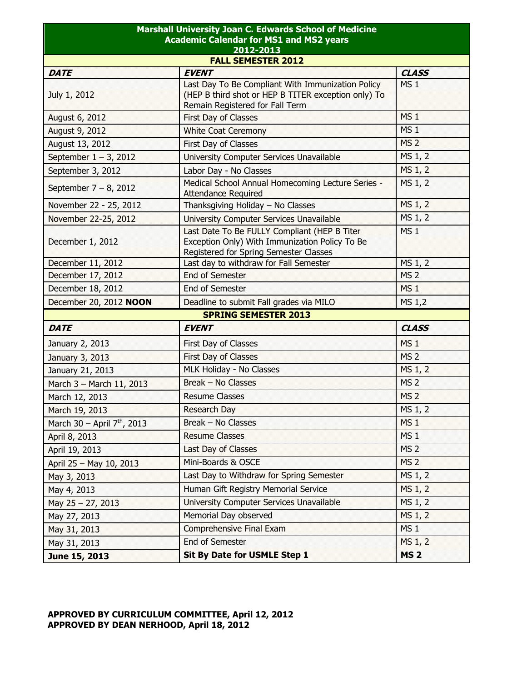| <b>Marshall University Joan C. Edwards School of Medicine</b><br><b>Academic Calendar for MS1 and MS2 years</b><br>2012-2013<br><b>FALL SEMESTER 2012</b> |                                                                                          |                 |  |  |             |                                                   |                 |
|-----------------------------------------------------------------------------------------------------------------------------------------------------------|------------------------------------------------------------------------------------------|-----------------|--|--|-------------|---------------------------------------------------|-----------------|
|                                                                                                                                                           |                                                                                          |                 |  |  | <b>DATE</b> | <b>EVENT</b>                                      | <b>CLASS</b>    |
|                                                                                                                                                           |                                                                                          |                 |  |  |             | Last Day To Be Compliant With Immunization Policy | MS <sub>1</sub> |
| July 1, 2012                                                                                                                                              | (HEP B third shot or HEP B TITER exception only) To                                      |                 |  |  |             |                                                   |                 |
|                                                                                                                                                           | Remain Registered for Fall Term                                                          |                 |  |  |             |                                                   |                 |
| August 6, 2012                                                                                                                                            | First Day of Classes                                                                     | MS <sub>1</sub> |  |  |             |                                                   |                 |
| August 9, 2012                                                                                                                                            | <b>White Coat Ceremony</b>                                                               | MS <sub>1</sub> |  |  |             |                                                   |                 |
| August 13, 2012                                                                                                                                           | First Day of Classes                                                                     | <b>MS 2</b>     |  |  |             |                                                   |                 |
| September $1 - 3$ , 2012                                                                                                                                  | University Computer Services Unavailable                                                 | MS 1, 2         |  |  |             |                                                   |                 |
| September 3, 2012                                                                                                                                         | Labor Day - No Classes                                                                   | MS 1, 2         |  |  |             |                                                   |                 |
| September $7 - 8$ , 2012                                                                                                                                  | Medical School Annual Homecoming Lecture Series -<br><b>Attendance Required</b>          | MS 1, 2         |  |  |             |                                                   |                 |
| November 22 - 25, 2012                                                                                                                                    | Thanksgiving Holiday - No Classes                                                        | MS 1, 2         |  |  |             |                                                   |                 |
| November 22-25, 2012                                                                                                                                      | University Computer Services Unavailable                                                 | MS 1, 2         |  |  |             |                                                   |                 |
|                                                                                                                                                           | Last Date To Be FULLY Compliant (HEP B Titer                                             | <b>MS1</b>      |  |  |             |                                                   |                 |
| December 1, 2012                                                                                                                                          | Exception Only) With Immunization Policy To Be<br>Registered for Spring Semester Classes |                 |  |  |             |                                                   |                 |
| December 11, 2012                                                                                                                                         | Last day to withdraw for Fall Semester                                                   | MS 1, 2         |  |  |             |                                                   |                 |
| December 17, 2012                                                                                                                                         | <b>End of Semester</b>                                                                   | <b>MS 2</b>     |  |  |             |                                                   |                 |
| December 18, 2012                                                                                                                                         | <b>End of Semester</b>                                                                   | MS <sub>1</sub> |  |  |             |                                                   |                 |
| December 20, 2012 NOON                                                                                                                                    | Deadline to submit Fall grades via MILO                                                  | MS 1,2          |  |  |             |                                                   |                 |
| <b>SPRING SEMESTER 2013</b>                                                                                                                               |                                                                                          |                 |  |  |             |                                                   |                 |
| <b>DATE</b>                                                                                                                                               | <b>EVENT</b>                                                                             | <b>CLASS</b>    |  |  |             |                                                   |                 |
| January 2, 2013                                                                                                                                           | First Day of Classes                                                                     | MS <sub>1</sub> |  |  |             |                                                   |                 |
| January 3, 2013                                                                                                                                           | First Day of Classes                                                                     | <b>MS 2</b>     |  |  |             |                                                   |                 |
| January 21, 2013                                                                                                                                          | MLK Holiday - No Classes                                                                 | MS 1, 2         |  |  |             |                                                   |                 |
| March 3 - March 11, 2013                                                                                                                                  | Break - No Classes                                                                       | MS <sub>2</sub> |  |  |             |                                                   |                 |
| March 12, 2013                                                                                                                                            | <b>Resume Classes</b>                                                                    | MS <sub>2</sub> |  |  |             |                                                   |                 |
| March 19, 2013                                                                                                                                            | Research Day                                                                             | MS 1, 2         |  |  |             |                                                   |                 |
| March 30 - April 7 <sup>th</sup> , 2013                                                                                                                   | Break - No Classes                                                                       | MS <sub>1</sub> |  |  |             |                                                   |                 |
| April 8, 2013                                                                                                                                             | <b>Resume Classes</b>                                                                    | MS <sub>1</sub> |  |  |             |                                                   |                 |
| April 19, 2013                                                                                                                                            | Last Day of Classes                                                                      | MS <sub>2</sub> |  |  |             |                                                   |                 |
| April 25 - May 10, 2013                                                                                                                                   | Mini-Boards & OSCE                                                                       | MS <sub>2</sub> |  |  |             |                                                   |                 |
| May 3, 2013                                                                                                                                               | Last Day to Withdraw for Spring Semester                                                 | MS 1, 2         |  |  |             |                                                   |                 |
| May 4, 2013                                                                                                                                               | Human Gift Registry Memorial Service                                                     | MS 1, 2         |  |  |             |                                                   |                 |
| May 25 - 27, 2013                                                                                                                                         | University Computer Services Unavailable                                                 | MS 1, 2         |  |  |             |                                                   |                 |
| May 27, 2013                                                                                                                                              | Memorial Day observed                                                                    | MS 1, 2         |  |  |             |                                                   |                 |
| May 31, 2013                                                                                                                                              | Comprehensive Final Exam                                                                 | MS <sub>1</sub> |  |  |             |                                                   |                 |
| May 31, 2013                                                                                                                                              | End of Semester                                                                          | MS 1, 2         |  |  |             |                                                   |                 |
| June 15, 2013                                                                                                                                             | Sit By Date for USMLE Step 1                                                             | <b>MS 2</b>     |  |  |             |                                                   |                 |

## **APPROVED BY CURRICULUM COMMITTEE, April 12, 2012 APPROVED BY DEAN NERHOOD, April 18, 2012**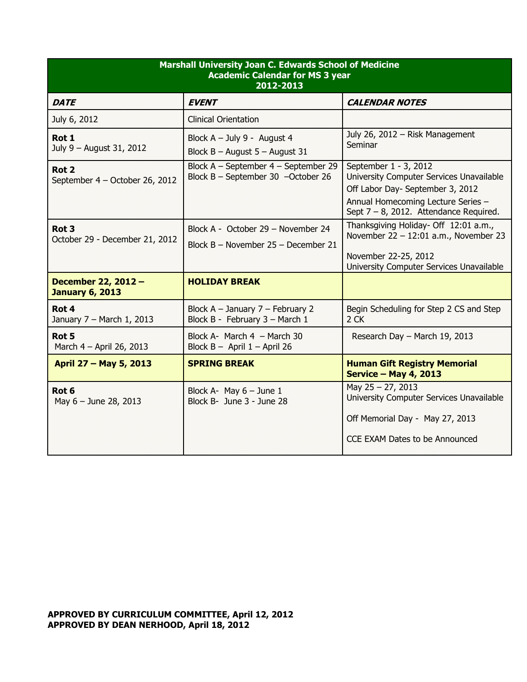| <b>Marshall University Joan C. Edwards School of Medicine</b><br><b>Academic Calendar for MS 3 year</b><br>2012-2013 |                                                                            |                                                                                                                                                                                          |  |
|----------------------------------------------------------------------------------------------------------------------|----------------------------------------------------------------------------|------------------------------------------------------------------------------------------------------------------------------------------------------------------------------------------|--|
| <b>DATE</b>                                                                                                          | <b>EVENT</b>                                                               | <b>CALENDAR NOTES</b>                                                                                                                                                                    |  |
| July 6, 2012                                                                                                         | <b>Clinical Orientation</b>                                                |                                                                                                                                                                                          |  |
| Rot 1<br>July 9 - August 31, 2012                                                                                    | Block $A - July 9 - August 4$<br>Block $B -$ August $5 -$ August 31        | July 26, 2012 - Risk Management<br>Seminar                                                                                                                                               |  |
| Rot <sub>2</sub><br>September 4 - October 26, 2012                                                                   | Block A - September 4 - September 29<br>Block B - September 30 -October 26 | September 1 - 3, 2012<br>University Computer Services Unavailable<br>Off Labor Day- September 3, 2012<br>Annual Homecoming Lecture Series -<br>Sept $7 - 8$ , 2012. Attendance Required. |  |
| Rot <sub>3</sub><br>October 29 - December 21, 2012                                                                   | Block A - October 29 - November 24<br>Block B - November 25 - December 21  | Thanksgiving Holiday- Off 12:01 a.m.,<br>November $22 - 12:01$ a.m., November 23<br>November 22-25, 2012<br>University Computer Services Unavailable                                     |  |
| December 22, 2012 -<br><b>January 6, 2013</b>                                                                        | <b>HOLIDAY BREAK</b>                                                       |                                                                                                                                                                                          |  |
| Rot 4<br>January 7 - March 1, 2013                                                                                   | Block A - January 7 - February 2<br>Block B - February 3 - March 1         | Begin Scheduling for Step 2 CS and Step<br>$2$ CK                                                                                                                                        |  |
| Rot 5<br>March 4 - April 26, 2013                                                                                    | Block A- March 4 - March 30<br>Block $B -$ April 1 - April 26              | Research Day - March 19, 2013                                                                                                                                                            |  |
| April 27 - May 5, 2013                                                                                               | <b>SPRING BREAK</b>                                                        | <b>Human Gift Registry Memorial</b><br><b>Service - May 4, 2013</b>                                                                                                                      |  |
| Rot <sub>6</sub><br>May 6 - June 28, 2013                                                                            | Block A- May $6 -$ June 1<br>Block B- June 3 - June 28                     | May $25 - 27$ , 2013<br>University Computer Services Unavailable<br>Off Memorial Day - May 27, 2013<br>CCE EXAM Dates to be Announced                                                    |  |